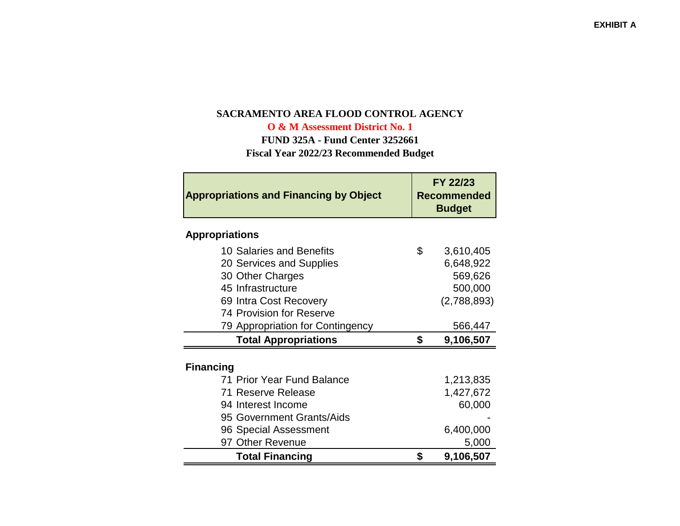# **SACRAMENTO AREA FLOOD CONTROL AGENCY**

**O & M Assessment District No. 1**

 **FUND 325A - Fund Center 3252661Fiscal Year 2022/23 Recommended Budget**

| <b>Appropriations and Financing by Object</b> | FY 22/23<br><b>Recommended</b><br><b>Budget</b> |             |  |
|-----------------------------------------------|-------------------------------------------------|-------------|--|
| <b>Appropriations</b>                         |                                                 |             |  |
| 10 Salaries and Benefits                      | \$                                              | 3,610,405   |  |
| 20 Services and Supplies                      |                                                 | 6,648,922   |  |
| 30 Other Charges                              |                                                 | 569,626     |  |
| 45 Infrastructure                             |                                                 | 500,000     |  |
| 69 Intra Cost Recovery                        |                                                 | (2,788,893) |  |
| 74 Provision for Reserve                      |                                                 |             |  |
| 79 Appropriation for Contingency              |                                                 | 566,447     |  |
| <b>Total Appropriations</b>                   | \$                                              | 9,106,507   |  |
| <b>Financing</b>                              |                                                 |             |  |
| 71 Prior Year Fund Balance                    |                                                 | 1,213,835   |  |
| 71 Reserve Release                            |                                                 | 1,427,672   |  |
| 94 Interest Income                            |                                                 | 60,000      |  |
| 95 Government Grants/Aids                     |                                                 |             |  |
| 96 Special Assessment                         |                                                 | 6,400,000   |  |
| 97 Other Revenue                              |                                                 | 5,000       |  |
| <b>Total Financing</b>                        | \$                                              | 9,106,507   |  |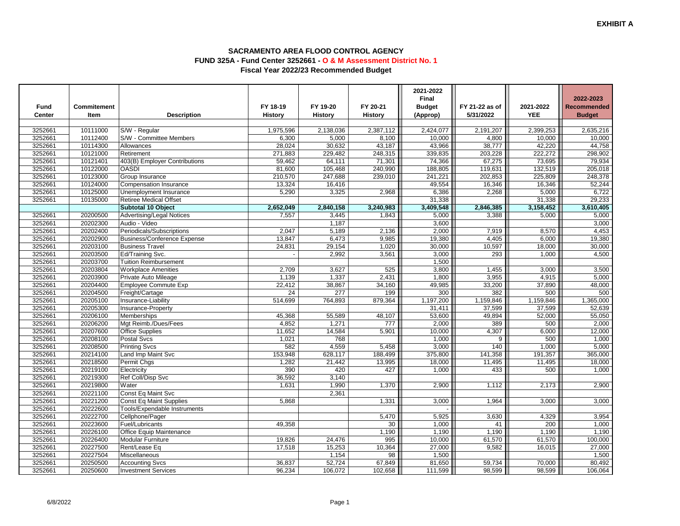|         |             |                                    |           |                  |           | 2021-2022<br><b>Final</b> |                |            | 2022-2023          |
|---------|-------------|------------------------------------|-----------|------------------|-----------|---------------------------|----------------|------------|--------------------|
| Fund    | Commitement |                                    | FY 18-19  | FY 19-20         | FY 20-21  | <b>Budget</b>             | FY 21-22 as of | 2021-2022  | <b>Recommended</b> |
| Center  | Item        | <b>Description</b>                 | History   | <b>History</b>   | History   | (Approp)                  | 5/31/2022      | <b>YEE</b> | <b>Budget</b>      |
|         |             |                                    |           |                  |           |                           |                |            |                    |
| 3252661 | 10111000    | S/W - Regular                      | 1,975,596 | 2,138,036        | 2,387,112 | 2,424,077                 | 2,191,207      | 2,399,253  | 2,635,216          |
| 3252661 | 10112400    | S/W - Committee Members            | 6,300     | 5,000            | 8,100     | 10,000                    | 4,800          | 10,000     | 10,000             |
| 3252661 | 10114300    | Allowances                         | 28,024    | 30,632           | 43,187    | 43,966                    | 38,777         | 42,220     | 44,758             |
| 3252661 | 10121000    | Retirement                         | 271,883   | 229,482          | 248,315   | 339,835                   | 203,228        | 222,272    | 298,902            |
| 3252661 | 10121401    | 403(B) Employer Contributions      | 59,462    | 64,111           | 71,301    | 74,366                    | 67,275         | 73,695     | 79,934             |
| 3252661 | 10122000    | <b>OASDI</b>                       | 81,600    | 105,468          | 240,990   | 188,805                   | 119,631        | 132,519    | 205,018            |
| 3252661 | 10123000    | Group Insurance                    | 210,570   | 247,688          | 239,010   | 241,221                   | 202.853        | 225,809    | 248,378            |
| 3252661 | 10124000    | Compensation Insurance             | 13,324    | 16,416           |           | 49,554                    | 16,346         | 16,346     | 52,244             |
| 3252661 | 10125000    | Unemployment Insurance             | 5,290     | 3,325            | 2,968     | 6,386                     | 2,268          | 5,000      | 6,722              |
| 3252661 | 10135000    | <b>Retiree Medical Offset</b>      |           |                  |           | 31,338                    |                | 31,338     | 29,233             |
|         |             | Subtotal 10 Object                 | 2,652,049 | 2,840,158        | 3,240,983 | 3,409,548                 | 2,846,385      | 3,158,452  | 3,610,405          |
| 3252661 | 20200500    | <b>Advertising/Legal Notices</b>   | 7,557     | 3,445            | 1,843     | 5,000                     | 3,388          | 5,000      | 5,000              |
| 3252661 | 20202300    | Audio - Video                      |           | 1,187            |           | 3,600                     |                |            | 3,000              |
| 3252661 | 20202400    | Periodicals/Subscriptions          | 2,047     | 5,189            | 2,136     | 2,000                     | 7,919          | 8,570      | 4,453              |
| 3252661 | 20202900    | <b>Business/Conference Expense</b> | 13,847    | 6,473            | 9,985     | 19,380                    | 4,405          | 6,000      | 19,380             |
| 3252661 | 20203100    | <b>Business Travel</b>             | 24,831    | 29,154           | 1,020     | 30,000                    | 10,597         | 18,000     | 30,000             |
| 3252661 | 20203500    | Ed/Training Svc.                   |           | 2,992            | 3,561     | 3,000                     | 293            | 1,000      | 4,500              |
| 3252661 | 20203700    | <b>Tuition Reimbursement</b>       |           |                  |           | 1,500                     |                |            |                    |
| 3252661 | 20203804    | <b>Workplace Amenities</b>         | 2,709     | 3,627            | 525       | 3,800                     | 1,455          | 3,000      | 3,500              |
| 3252661 | 20203900    | Private Auto Mileage               | 1,139     | 1,337            | 2,431     | 1.800                     | 3,955          | 4,915      | 5,000              |
| 3252661 | 20204400    | <b>Employee Commute Exp</b>        | 22,412    | 38,867           | 34,160    | 49,985                    | 33,200         | 37,890     | 48,000             |
| 3252661 | 20204500    | Freight/Cartage                    | 24        | $\overline{277}$ | 199       | 300                       | 382            | 500        | 500                |
| 3252661 | 20205100    | Insurance-Liability                | 514,699   | 764,893          | 879,364   | 1,197,200                 | 1,159,846      | 1,159,846  | 1,365,000          |
| 3252661 | 20205300    | Insurance-Property                 |           |                  |           | 31,411                    | 37,599         | 37,599     | 52,639             |
| 3252661 | 20206100    | <b>Memberships</b>                 | 45,368    | 55,589           | 48,107    | 53,600                    | 49,894         | 52,000     | 55,050             |
| 3252661 | 20206200    | Mgt Reimb./Dues/Fees               | 4.852     | 1,271            | 777       | 2,000                     | 389            | 500        | 2,000              |
| 3252661 | 20207600    | <b>Office Supplies</b>             | 11,652    | 14,584           | 5,901     | 10,000                    | 4,307          | 6,000      | 12,000             |
| 3252661 | 20208100    | Postal Svcs                        | 1,021     | 768              |           | 1,000                     | 9              | 500        | 1,000              |
| 3252661 | 20208500    | <b>Printing Svcs</b>               | 582       | 4,559            | 5,458     | 3,000                     | 140            | 1,000      | 5,000              |
| 3252661 | 20214100    | Land Imp Maint Svc                 | 153,948   | 628,117          | 188,499   | 375,800                   | 141,358        | 191,357    | 365,000            |
| 3252661 | 20218500    | Permit Chgs                        | 1,282     | 21,442           | 13,995    | 18,000                    | 11,495         | 11,495     | 18,000             |
| 3252661 | 20219100    | Electricity                        | 390       | 420              | 427       | 1,000                     | 433            | 500        | 1,000              |
| 3252661 | 20219300    | Ref Coll/Disp Svc                  | 36,592    | 3,140            |           |                           |                |            |                    |
| 3252661 | 20219800    | Water                              | 1,631     | 1,990            | 1,370     | 2,900                     | 1,112          | 2,173      | 2,900              |
| 3252661 | 20221100    | Const Eq Maint Svc                 |           | 2,361            |           |                           |                |            |                    |
| 3252661 | 20221200    | <b>Const Eq Maint Supplies</b>     | 5,868     |                  | 1,331     | 3,000                     | 1,964          | 3,000      | 3,000              |
| 3252661 | 20222600    | Tools/Expendable Instruments       |           |                  |           |                           |                |            |                    |
| 3252661 | 20222700    | Cellphone/Pager                    |           |                  | 5,470     | 5,925                     | 3,630          | 4,329      | 3,954              |
| 3252661 | 20223600    | Fuel/Lubricants                    | 49.358    |                  | 30        | 1,000                     | 41             | 200        | 1,000              |
| 3252661 | 20226100    | Office Equip Maintenance           |           |                  | 1,190     | 1,190                     | 1,190          | 1,190      | 1,190              |
| 3252661 | 20226400    | Modular Furniture                  | 19,826    | 24,476           | 995       | 10,000                    | 61,570         | 61,570     | 100,000            |
| 3252661 | 20227500    | Rent/Lease Eq                      | 17,518    | 15,253           | 10,364    | 27,000                    | 9,582          | 16,015     | 27,000             |
| 3252661 | 20227504    | Miscellaneous                      |           | 1,154            | 98        | 1,500                     |                |            | 1,500              |
| 3252661 | 20250500    | <b>Accounting Svcs</b>             | 36,837    | 52,724           | 67,849    | 81,650                    | 59,734         | 70,000     | 80,492             |
| 3252661 | 20250600    | <b>Investment Services</b>         | 96,234    | 106,072          | 102,658   | 111,599                   | 98,599         | 98,599     | 106,064            |

 $\sim$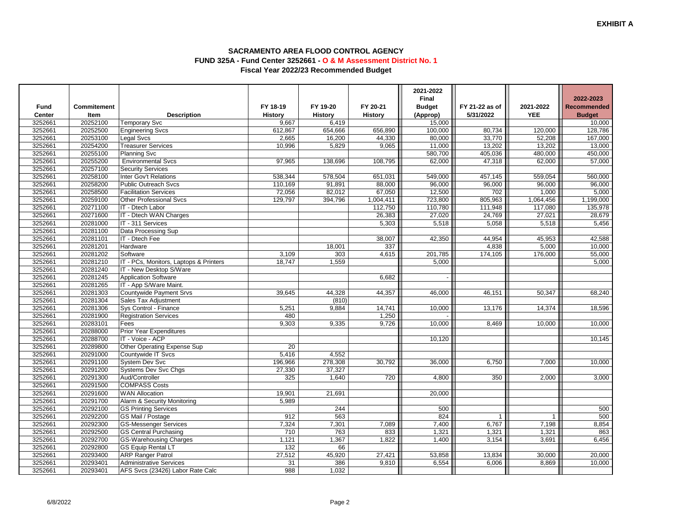|                   |                  |                                        |                         |                         |                | 2021-2022                     |                |                         |                         |
|-------------------|------------------|----------------------------------------|-------------------------|-------------------------|----------------|-------------------------------|----------------|-------------------------|-------------------------|
|                   |                  |                                        | FY 18-19                | FY 19-20                | FY 20-21       | <b>Final</b><br><b>Budget</b> |                |                         | 2022-2023               |
| <b>Fund</b>       | Commitement      |                                        |                         |                         |                |                               | FY 21-22 as of | 2021-2022<br><b>YEE</b> | <b>Recommended</b>      |
| Center<br>3252661 | Item<br>20252100 | <b>Description</b><br>Temporary Svc    | <b>History</b><br>9,667 | <b>History</b><br>6,419 | <b>History</b> | (Approp)<br>15,000            | 5/31/2022      |                         | <b>Budget</b><br>10,000 |
| 3252661           | 20252500         | <b>Engineering Svcs</b>                | 612,867                 | 654.666                 | 656.890        | 100,000                       | 80,734         | 120.000                 | 128,786                 |
| 3252661           | 20253100         | Legal Svcs                             | 2,665                   | 16,200                  | 44,330         | 80,000                        | 33,770         | 52,208                  | 167,000                 |
| 3252661           | 20254200         | <b>Treasurer Services</b>              | 10,996                  | 5,829                   | 9,065          | 11,000                        | 13,202         | 13,202                  | 13,000                  |
| 3252661           | 20255100         | <b>Planning Svc</b>                    |                         |                         |                | 580,700                       | 405,036        | 480,000                 | 450,000                 |
| 3252661           | 20255200         | <b>Environmental Svcs</b>              | 97,965                  | 138,696                 | 108,795        | 62,000                        | 47,318         | 62,000                  | 57,000                  |
| 3252661           | 20257100         | <b>Security Services</b>               |                         |                         |                |                               |                |                         |                         |
| 3252661           | 20258100         | Inter Gov't Relations                  | 538,344                 | 578,504                 | 651,031        | 549,000                       | 457,145        | 559,054                 | 560,000                 |
| 3252661           | 20258200         | <b>Public Outreach Svcs</b>            | 110,169                 | 91,891                  | 88,000         | 96,000                        | 96,000         | 96,000                  | 96,000                  |
| 3252661           | 20258500         | <b>Facilitation Services</b>           | 72,056                  | 82,012                  | 67,050         | 12,500                        | 702            | 1,000                   | 5,000                   |
| 3252661           | 20259100         | <b>Other Professional Svcs</b>         | 129,797                 | 394,796                 | 1,004,411      | 723,800                       | 805,963        | 1,064,456               | 1,199,000               |
| 3252661           | 20271100         | IT - Dtech Labor                       |                         |                         | 112,750        | 110,780                       | 111,948        | 117,080                 | 135,978                 |
| 3252661           | 20271600         | IT - Dtech WAN Charges                 |                         |                         | 26,383         | 27,020                        | 24,769         | 27,021                  | 28,679                  |
| 3252661           | 20281000         | IT - 311 Services                      |                         |                         | 5,303          | 5,518                         | 5,058          | 5,518                   | 5,456                   |
| 3252661           | 20281100         | Data Processing Sup                    |                         |                         |                |                               |                |                         |                         |
| 3252661           | 20281101         | IT - Dtech Fee                         |                         |                         | 38,007         | 42,350                        | 44,954         | 45,953                  | 42,588                  |
| 3252661           | 20281201         | Hardware                               |                         | 18,001                  | 337            |                               | 4,838          | 5,000                   | 10,000                  |
| 3252661           | 20281202         | Software                               | 3,109                   | 303                     | 4,615          | 201,785                       | 174,105        | 176,000                 | 55,000                  |
| 3252661           | 20281210         | IT - PCs, Monitors, Laptops & Printers | 18,747                  | 1,559                   |                | 5,000                         |                |                         | 5,000                   |
| 3252661           | 20281240         | IT - New Desktop S/Ware                |                         |                         |                |                               |                |                         |                         |
| 3252661           | 20281245         | <b>Application Software</b>            |                         |                         | 6,682          |                               |                |                         |                         |
| 3252661           | 20281265         | IT - App S/Ware Maint.                 |                         |                         |                |                               |                |                         |                         |
| 3252661           | 20281303         | Countywide Payment Srvs                | 39,645                  | 44,328                  | 44,357         | 46,000                        | 46,151         | 50,347                  | 68,240                  |
| 3252661           | 20281304         | Sales Tax Adjustment                   |                         | (810)                   |                |                               |                |                         |                         |
| 3252661           | 20281306         | Sys Control - Finance                  | 5,251                   | 9,884                   | 14,741         | 10,000                        | 13,176         | 14,374                  | 18,596                  |
| 3252661           | 20281900         | <b>Registration Services</b>           | 480                     |                         | 1,250          |                               |                |                         |                         |
| 3252661           | 20283101         | Fees                                   | 9,303                   | 9,335                   | 9,726          | 10,000                        | 8,469          | 10,000                  | 10,000                  |
| 3252661           | 20288000         | <b>Prior Year Expenditures</b>         |                         |                         |                |                               |                |                         |                         |
| 3252661           | 20288700         | IT - Voice - ACP                       |                         |                         |                | 10,120                        |                |                         | 10,145                  |
| 3252661           | 20289800         | Other Operating Expense Sup            | 20                      |                         |                |                               |                |                         |                         |
| 3252661           | 20291000         | Countywide IT Svcs                     | 5,416                   | 4,552                   |                |                               |                |                         |                         |
| 3252661           | 20291100         | <b>System Dev Svc</b>                  | 196,966                 | 278,308                 | 30,792         | 36,000                        | 6,750          | 7,000                   | 10,000                  |
| 3252661           | 20291200         | Systems Dev Svc Chgs                   | 27,330                  | 37,327                  |                |                               |                |                         |                         |
| 3252661           | 20291300         | Aud/Controller                         | 325                     | 1,640                   | 720            | 4,800                         | 350            | 2,000                   | 3,000                   |
| 3252661           | 20291500         | <b>COMPASS Costs</b>                   |                         |                         |                |                               |                |                         |                         |
| 3252661           | 20291600         | <b>WAN Allocation</b>                  | 19,901                  | 21,691                  |                | 20,000                        |                |                         |                         |
| 3252661           | 20291700         | Alarm & Security Monitoring            | 5,989                   |                         |                |                               |                |                         |                         |
| 3252661           | 20292100         | <b>GS Printing Services</b>            |                         | 244                     |                | 500                           |                |                         | 500                     |
| 3252661           | 20292200         | GS Mail / Postage                      | 912                     | 563                     |                | 824                           | $\overline{1}$ | $\overline{1}$          | 500                     |
| 3252661           | 20292300         | <b>GS-Messenger Services</b>           | 7,324                   | 7,301                   | 7,089          | 7,400                         | 6,767          | 7,198                   | 8,854                   |
| 3252661           | 20292500         | <b>GS Central Purchasing</b>           | 710                     | 763                     | 833            | 1,321                         | 1,321          | 1,321                   | 863                     |
| 3252661           | 20292700         | <b>GS-Warehousing Charges</b>          | 1,121                   | 1,367                   | 1,822          | 1,400                         | 3,154          | 3,691                   | 6,456                   |
| 3252661           | 20292800         | <b>GS Equip Rental LT</b>              | $\overline{132}$        | 66                      |                |                               |                |                         |                         |
| 3252661           | 20293400         | <b>ARP Ranger Patrol</b>               | 27,512                  | 45,920                  | 27,421         | 53,858                        | 13,834         | 30,000                  | 20,000                  |
| 3252661           | 20293401         | <b>Administrative Services</b>         | $\overline{31}$         | 386                     | 9,810          | 6,554                         | 6,006          | 8,869                   | 10,000                  |
| 3252661           | 20293401         | AFS Svcs (23426) Labor Rate Calc       | 988                     | 1,032                   |                |                               |                |                         |                         |

 $\sim$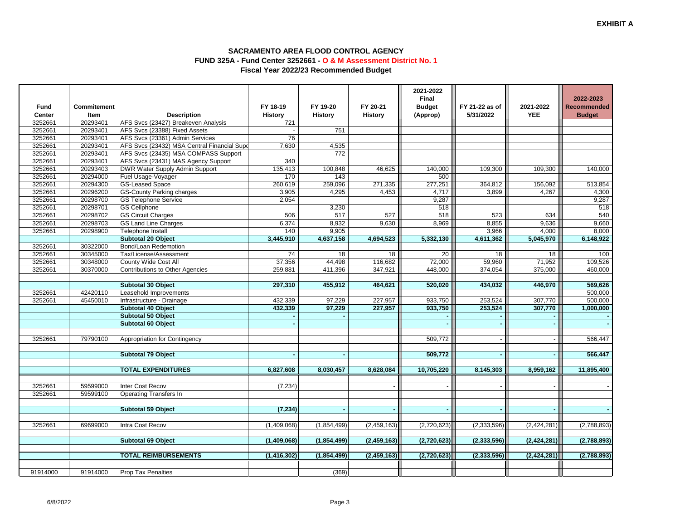|          |             |                                             |                 |             |                          | 2021-2022<br><b>Final</b> |                |               | 2022-2023          |
|----------|-------------|---------------------------------------------|-----------------|-------------|--------------------------|---------------------------|----------------|---------------|--------------------|
| Fund     | Commitement |                                             | FY 18-19        | FY 19-20    | FY 20-21                 | <b>Budget</b>             | FY 21-22 as of | 2021-2022     | <b>Recommended</b> |
| Center   | Item        | <b>Description</b>                          | <b>History</b>  | History     | <b>History</b>           | (Approp)                  | 5/31/2022      | <b>YEE</b>    | <b>Budget</b>      |
| 3252661  | 20293401    | AFS Svcs (23427) Breakeven Analysis         | 721             |             |                          |                           |                |               |                    |
| 3252661  | 20293401    | AFS Svcs (23388) Fixed Assets               |                 | 751         |                          |                           |                |               |                    |
| 3252661  | 20293401    | AFS Svcs (23361) Admin Services             | 76              |             |                          |                           |                |               |                    |
| 3252661  | 20293401    | AFS Svcs (23432) MSA Central Financial Supe | 7.630           | 4,535       |                          |                           |                |               |                    |
| 3252661  | 20293401    | AFS Svcs (23435) MSA COMPASS Support        |                 | 772         |                          |                           |                |               |                    |
| 3252661  | 20293401    | AFS Svcs (23431) MAS Agency Support         | 340             |             |                          |                           |                |               |                    |
| 3252661  | 20293403    | <b>DWR Water Supply Admin Support</b>       | 135,413         | 100,848     | 46,625                   | 140,000                   | 109,300        | 109,300       | 140,000            |
| 3252661  | 20294000    | Fuel Usage-Voyager                          | 170             | 143         |                          | 500                       |                |               |                    |
| 3252661  | 20294300    | <b>GS-Leased Space</b>                      | 260,619         | 259,096     | 271,335                  | 277,251                   | 364,812        | 156,092       | 513,854            |
| 3252661  | 20296200    | <b>GS-County Parking charges</b>            | 3,905           | 4,295       | 4,453                    | 4,717                     | 3,899          | 4,267         | 4,300              |
| 3252661  | 20298700    | <b>GS Telephone Service</b>                 | 2,054           |             |                          | 9,287                     |                |               | 9,287              |
| 3252661  | 20298701    | <b>GS Cellphone</b>                         |                 | 3,230       |                          | 518                       |                |               | 518                |
| 3252661  | 20298702    | <b>GS Circuit Charges</b>                   | 506             | 517         | 527                      | 518                       | 523            | 634           | 540                |
| 3252661  | 20298703    | <b>GS Land Line Charges</b>                 | 6,374           | 8,932       | 9,630                    | 8,969                     | 8,855          | 9,636         | 9,660              |
| 3252661  | 20298900    | Telephone Install                           | 140             | 9,905       |                          |                           | 3,966          | 4,000         | 8,000              |
|          |             | <b>Subtotal 20 Object</b>                   | 3,445,910       | 4,637,158   | 4,694,523                | 5,332,130                 | 4,611,362      | 5,045,970     | 6,148,922          |
| 3252661  | 30322000    | Bond/Loan Redemption                        |                 |             |                          |                           |                |               |                    |
| 3252661  | 30345000    | Tax/License/Assessment                      | $\overline{74}$ | 18          | 18                       | 20                        | 18             | 18            | 100                |
| 3252661  | 30348000    | County Wide Cost All                        | 37,356          | 44,498      | 116,682                  | 72,000                    | 59,960         | 71,952        | 109,526            |
| 3252661  | 30370000    | Contributions to Other Agencies             | 259,881         | 411,396     | 347,921                  | 448,000                   | 374,054        | 375,000       | 460,000            |
|          |             |                                             |                 |             |                          |                           |                |               |                    |
|          |             | Subtotal 30 Object                          | 297,310         | 455,912     | 464,621                  | 520,020                   | 434,032        | 446,970       | 569,626            |
| 3252661  | 42420110    | Leasehold Improvements                      |                 |             |                          |                           |                |               | 500,000            |
| 3252661  | 45450010    | Infrastructure - Drainage                   | 432,339         | 97,229      | 227,957                  | 933,750                   | 253,524        | 307,770       | 500,000            |
|          |             | Subtotal 40 Object                          | 432,339         | 97,229      | 227,957                  | 933,750                   | 253,524        | 307,770       | 1,000,000          |
|          |             | Subtotal 50 Object                          |                 |             |                          |                           |                |               |                    |
|          |             | Subtotal 60 Object                          |                 |             |                          |                           |                | $\sim$        |                    |
|          |             |                                             |                 |             |                          |                           |                |               |                    |
| 3252661  | 79790100    | Appropriation for Contingency               |                 |             |                          | 509,772                   |                |               | 566,447            |
|          |             |                                             |                 |             |                          |                           |                |               |                    |
|          |             | <b>Subtotal 79 Object</b>                   |                 |             |                          | 509,772                   |                |               | 566,447            |
|          |             | <b>TOTAL EXPENDITURES</b>                   | 6,827,608       | 8,030,457   | 8,628,084                | 10,705,220                | 8,145,303      | 8,959,162     | 11,895,400         |
|          |             |                                             |                 |             |                          |                           |                |               |                    |
| 3252661  | 59599000    | <b>Inter Cost Recov</b>                     | (7, 234)        |             | $\overline{\phantom{a}}$ |                           |                |               |                    |
| 3252661  | 59599100    | <b>Operating Transfers In</b>               |                 |             |                          |                           |                |               |                    |
|          |             |                                             |                 |             |                          |                           |                |               |                    |
|          |             | <b>Subtotal 59 Object</b>                   | (7, 234)        |             | $\sim$                   |                           |                |               |                    |
|          |             |                                             |                 |             |                          |                           |                |               |                    |
| 3252661  | 69699000    | Intra Cost Recov                            | (1,409,068)     | (1,854,499) | (2, 459, 163)            | (2,720,623)               | (2, 333, 596)  | (2,424,281)   | (2,788,893)        |
|          |             | Subtotal 69 Object                          | (1,409,068)     | (1,854,499) | (2, 459, 163)            | (2,720,623)               | (2, 333, 596)  | (2, 424, 281) | (2,788,893)        |
|          |             |                                             |                 |             |                          |                           |                |               |                    |
|          |             | <b>TOTAL REIMBURSEMENTS</b>                 | (1, 416, 302)   | (1,854,499) | (2,459,163)              | (2,720,623)               | (2,333,596)    | (2,424,281)   | (2,788,893)        |
|          |             |                                             |                 |             |                          |                           |                |               |                    |
| 91914000 | 91914000    | <b>Prop Tax Penalties</b>                   |                 | (369)       |                          |                           |                |               |                    |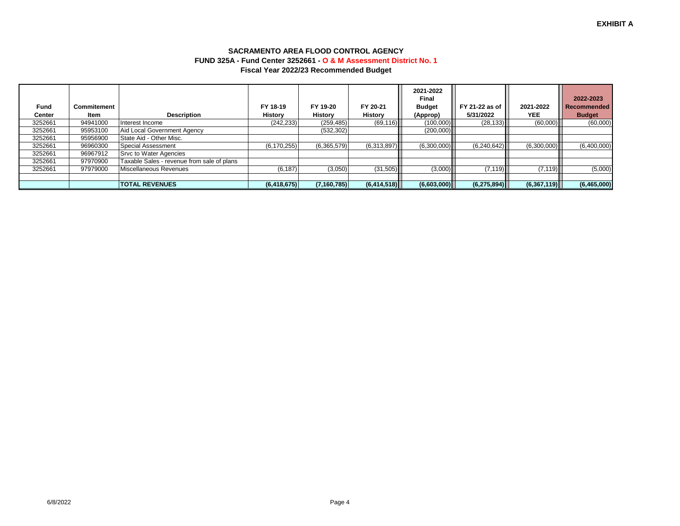| Fund    | Commitement |                                            | FY 18-19       | FY 19-20      | FY 20-21       | 2021-2022<br>Final<br><b>Budget</b> | FY 21-22 as of | 2021-2022   | 2022-2023<br><b>Recommended</b> |
|---------|-------------|--------------------------------------------|----------------|---------------|----------------|-------------------------------------|----------------|-------------|---------------------------------|
| Center  | Item        | <b>Description</b>                         | <b>History</b> | History       | <b>History</b> | (Approp)                            | 5/31/2022      | <b>YEE</b>  | <b>Budget</b>                   |
| 3252661 | 94941000    | Interest Income                            | (242, 233)     | (259, 485)    | (69, 116)      | (100,000)                           | (28, 133)      | (60,000)    | (60,000)                        |
| 3252661 | 95953100    | Aid Local Government Agency                |                | (532, 302)    |                | (200,000)                           |                |             |                                 |
| 3252661 | 95956900    | State Aid - Other Misc.                    |                |               |                |                                     |                |             |                                 |
| 3252661 | 96960300    | Special Assessment                         | (6, 170, 255)  | (6,365,579)   | (6,313,897)    | (6,300,000)                         | (6,240,642)    | (6,300,000) | (6,400,000)                     |
| 3252661 | 96967912    | <b>Srvc to Water Agencies</b>              |                |               |                |                                     |                |             |                                 |
| 3252661 | 97970900    | Taxable Sales - revenue from sale of plans |                |               |                |                                     |                |             |                                 |
| 3252661 | 97979000    | Miscellaneous Revenues                     | (6, 187)       | (3,050)       | (31,505)       | (3,000)                             | (7, 119)       | (7, 119)    | (5,000)                         |
|         |             |                                            |                |               |                |                                     |                |             |                                 |
|         |             | <b>TOTAL REVENUES</b>                      | (6, 418, 675)  | (7, 160, 785) | (6, 414, 518)  | (6,603,000)                         | (6,275,894)    | (6,367,119) | (6,465,000)                     |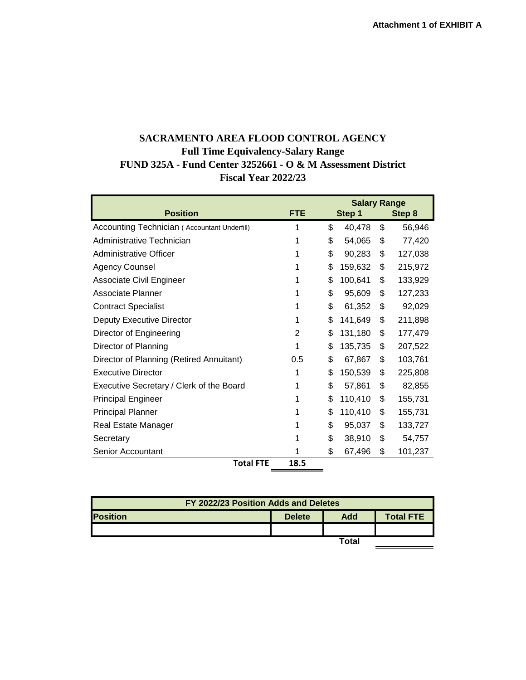## **SACRAMENTO AREA FLOOD CONTROL AGENCY Full Time Equivalency-Salary Range FUND 325A - Fund Center 3252661 - O & M Assessment District Fiscal Year 2022/23**

| <b>Salary Range</b>                          |            |    |         |        |         |  |  |  |  |  |
|----------------------------------------------|------------|----|---------|--------|---------|--|--|--|--|--|
| <b>Position</b>                              | <b>FTE</b> |    | Step 1  | Step 8 |         |  |  |  |  |  |
| Accounting Technician (Accountant Underfill) | 1          | \$ | 40,478  | \$     | 56,946  |  |  |  |  |  |
| Administrative Technician                    | 1          | \$ | 54,065  | \$     | 77,420  |  |  |  |  |  |
| Administrative Officer                       |            | \$ | 90,283  | \$     | 127,038 |  |  |  |  |  |
| <b>Agency Counsel</b>                        | 1          | \$ | 159,632 | \$     | 215,972 |  |  |  |  |  |
| <b>Associate Civil Engineer</b>              | 1          | \$ | 100,641 | \$     | 133,929 |  |  |  |  |  |
| Associate Planner                            |            | \$ | 95,609  | \$     | 127,233 |  |  |  |  |  |
| <b>Contract Specialist</b>                   | 1          | \$ | 61,352  | \$     | 92,029  |  |  |  |  |  |
| <b>Deputy Executive Director</b>             | 1          | \$ | 141,649 | \$     | 211,898 |  |  |  |  |  |
| Director of Engineering                      | 2          | \$ | 131,180 | \$     | 177,479 |  |  |  |  |  |
| Director of Planning                         | 1          | \$ | 135,735 | \$     | 207,522 |  |  |  |  |  |
| Director of Planning (Retired Annuitant)     | 0.5        | \$ | 67,867  | \$     | 103,761 |  |  |  |  |  |
| <b>Executive Director</b>                    | 1          | \$ | 150,539 | \$     | 225,808 |  |  |  |  |  |
| Executive Secretary / Clerk of the Board     | 1          | \$ | 57,861  | \$     | 82,855  |  |  |  |  |  |
| <b>Principal Engineer</b>                    | 1          | \$ | 110,410 | \$     | 155,731 |  |  |  |  |  |
| <b>Principal Planner</b>                     |            | \$ | 110,410 | \$     | 155,731 |  |  |  |  |  |
| Real Estate Manager                          |            | \$ | 95,037  | \$     | 133,727 |  |  |  |  |  |
| Secretary                                    |            | \$ | 38,910  | \$     | 54,757  |  |  |  |  |  |
| Senior Accountant                            |            | \$ | 67,496  | \$     | 101,237 |  |  |  |  |  |
| <b>Total FTE</b>                             | 18.5       |    |         |        |         |  |  |  |  |  |

| FY 2022/23 Position Adds and Deletes |               |       |                  |  |  |  |  |  |  |
|--------------------------------------|---------------|-------|------------------|--|--|--|--|--|--|
| <b>Position</b>                      | <b>Delete</b> | Add   | <b>Total FTE</b> |  |  |  |  |  |  |
|                                      |               |       |                  |  |  |  |  |  |  |
|                                      |               | Total |                  |  |  |  |  |  |  |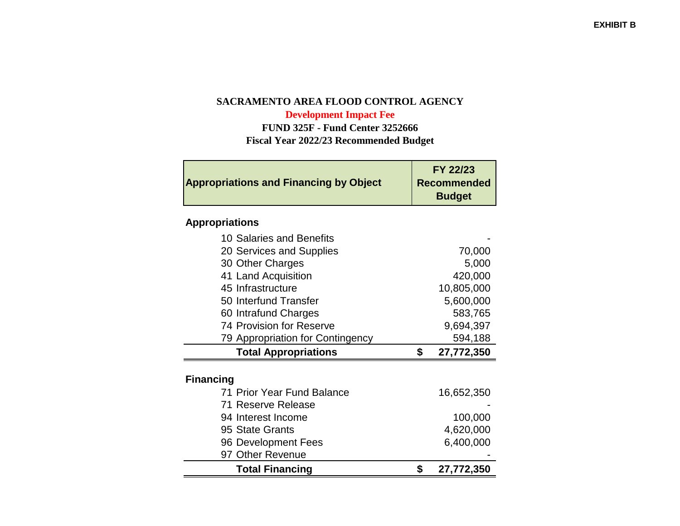## **SACRAMENTO AREA FLOOD CONTROL AGENCYDevelopment Impact Fee**

 **FUND 325F - Fund Center 3252666Fiscal Year 2022/23 Recommended Budget**

| <b>Appropriations and Financing by Object</b> | <b>FY 22/23</b><br><b>Recommended</b><br><b>Budget</b> |
|-----------------------------------------------|--------------------------------------------------------|
|                                               |                                                        |

# **Appropriations**

| <b>Financing</b><br>71 Prior Year Fund Balance | 16,652,350 |
|------------------------------------------------|------------|
| <b>Total Appropriations</b>                    | 27,772,350 |
| 79 Appropriation for Contingency               | 594,188    |
| 74 Provision for Reserve                       | 9,694,397  |
| 60 Intrafund Charges                           | 583,765    |
| 50 Interfund Transfer                          | 5,600,000  |
| 45 Infrastructure                              | 10,805,000 |
| 41 Land Acquisition                            | 420,000    |
| 30 Other Charges                               | 5,000      |
| 20 Services and Supplies                       | 70,000     |
| 10 Salaries and Benefits                       |            |

| <b>Total Financing</b>     | 27,772,350 |
|----------------------------|------------|
| 97 Other Revenue           |            |
| 96 Development Fees        | 6,400,000  |
| 95 State Grants            | 4,620,000  |
| 94 Interest Income         | 100,000    |
| 71 Reserve Release         |            |
| 71 Prior Year Fund Balance | 16,652,350 |
|                            |            |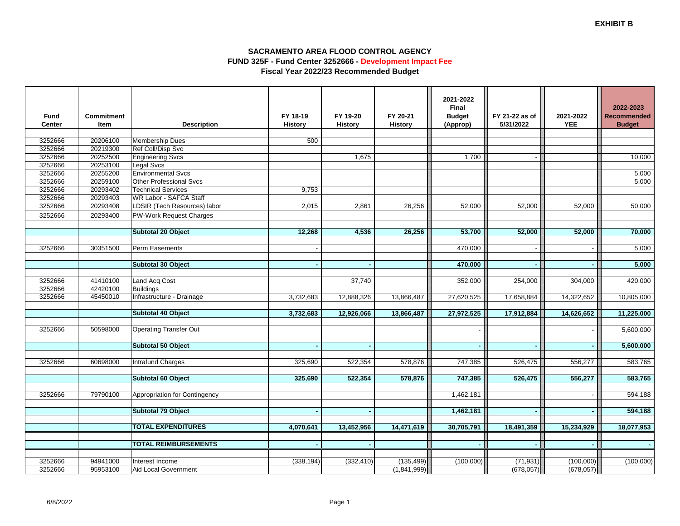### **SACRAMENTO AREA FLOOD CONTROL AGENCY FUND 325F - Fund Center 3252666 - Development Impact FeeFiscal Year 2022/23 Recommended Budget**

| Final<br>FY 18-19<br>FY 19-20<br>FY 20-21<br><b>Budget</b><br><b>Fund</b><br><b>Commitment</b>                | FY 21-22 as of<br>2021-2022         | 2022-2023<br><b>Recommended</b> |
|---------------------------------------------------------------------------------------------------------------|-------------------------------------|---------------------------------|
| <b>Center</b><br>Item<br><b>Description</b><br><b>History</b><br><b>History</b><br><b>History</b><br>(Approp) | 5/31/2022<br><b>YEE</b>             | <b>Budget</b>                   |
|                                                                                                               |                                     |                                 |
| 20206100<br>500<br>3252666<br><b>Membership Dues</b>                                                          |                                     |                                 |
| 3252666<br>20219300<br>Ref Coll/Disp Svc                                                                      |                                     |                                 |
| 3252666<br>20252500<br><b>Engineering Svcs</b><br>1.675                                                       | 1,700                               | 10,000                          |
| 3252666<br>20253100<br>Legal Svcs                                                                             |                                     |                                 |
| 3252666<br>20255200<br><b>Environmental Svcs</b>                                                              |                                     | 5,000                           |
| <b>Other Professional Svcs</b><br>3252666<br>20259100                                                         |                                     | 5,000                           |
| 20293402<br>3252666<br><b>Technical Services</b><br>9.753                                                     |                                     |                                 |
| 20293403<br><b>WR Labor - SAFCA Staff</b><br>3252666                                                          |                                     |                                 |
| 3252666<br>20293408<br>LDSIR (Tech Resources) labor<br>2,015<br>2,861<br>26,256                               | 52,000<br>52,000<br>52,000          | 50,000                          |
| 3252666<br>20293400<br>PW-Work Request Charges                                                                |                                     |                                 |
|                                                                                                               |                                     |                                 |
| <b>Subtotal 20 Object</b><br>12,268<br>4,536<br>26,256                                                        | 53,700<br>52.000<br>52,000          | 70,000                          |
|                                                                                                               |                                     |                                 |
| 3252666<br>Perm Easements<br>30351500                                                                         | 470,000                             | 5,000                           |
|                                                                                                               |                                     |                                 |
| <b>Subtotal 30 Object</b>                                                                                     | 470,000                             | 5,000                           |
|                                                                                                               |                                     |                                 |
| 3252666<br>41410100<br>Land Acq Cost<br>37,740<br>352,000                                                     | 254,000<br>304,000                  | 420,000                         |
| 3252666<br>42420100<br><b>Buildings</b>                                                                       |                                     |                                 |
| 3252666<br>45450010<br>Infrastructure - Drainage<br>3,732,683<br>27,620,525<br>12,888,326<br>13,866,487       | 17,658,884<br>14,322,652            | 10,805,000                      |
|                                                                                                               |                                     |                                 |
| 27,972,525<br>Subtotal 40 Object<br>3,732,683<br>12,926,066<br>13,866,487                                     | 17,912,884<br>14,626,652            | 11,225,000                      |
|                                                                                                               |                                     |                                 |
| 3252666<br>50598000<br><b>Operating Transfer Out</b>                                                          |                                     | 5,600,000                       |
|                                                                                                               |                                     |                                 |
| Subtotal 50 Object                                                                                            |                                     | 5,600,000                       |
|                                                                                                               |                                     |                                 |
| 3252666<br>60698000<br>Intrafund Charges<br>325,690<br>522,354<br>578,876                                     | 747,385<br>526,475<br>556,277       | 583,765                         |
|                                                                                                               |                                     |                                 |
| Subtotal 60 Object<br>325,690<br>522,354<br>578,876                                                           | 747,385<br>556,277<br>526,475       | 583,765                         |
|                                                                                                               |                                     |                                 |
| 3252666<br>79790100<br>Appropriation for Contingency<br>1,462,181                                             |                                     | 594,188                         |
|                                                                                                               |                                     |                                 |
| Subtotal 79 Object<br>1,462,181<br>$\sim$                                                                     | $\sim$                              | 594,188                         |
|                                                                                                               |                                     |                                 |
| <b>TOTAL EXPENDITURES</b><br>13,452,956<br>30,705,791<br>4,070,641<br>14,471,619                              | 18,491,359<br>15,234,929            | 18,077,953                      |
|                                                                                                               |                                     |                                 |
| <b>TOTAL REIMBURSEMENTS</b>                                                                                   |                                     |                                 |
|                                                                                                               |                                     |                                 |
| 3252666<br>94941000<br>Interest Income<br>(338, 194)<br>(332, 410)<br>(135, 499)                              | (100,000)<br>(71, 931)<br>(100,000) | (100,000)                       |
| 3252666<br>Aid Local Government<br>(1,841,999)<br>95953100                                                    | (678, 057)<br>(678, 057)            |                                 |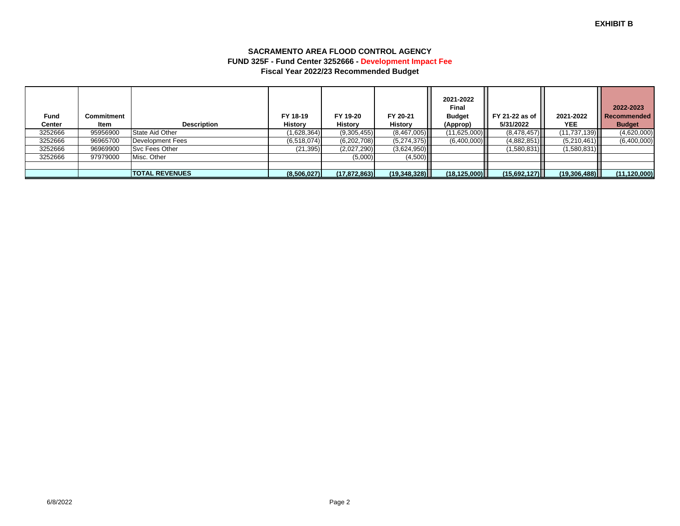### **SACRAMENTO AREA FLOOD CONTROL AGENCY FUND 325F - Fund Center 3252666 - Development Impact FeeFiscal Year 2022/23 Recommended Budget**

| Fund<br><b>Center</b> | Commitment<br>ltem | <b>Description</b>    | FY 18-19<br><b>History</b> | FY 19-20<br>History | FY 20-21<br><b>History</b> | 2021-2022<br>Final<br><b>Budget</b><br>(Approp) | FY 21-22 as of<br>5/31/2022 | 2021-2022<br>YEE. | 2022-2023<br><b>Recommended</b><br><b>Budget</b> |
|-----------------------|--------------------|-----------------------|----------------------------|---------------------|----------------------------|-------------------------------------------------|-----------------------------|-------------------|--------------------------------------------------|
| 3252666               | 95956900           | State Aid Other       | (1,628,364)                | (9,305,455)         | (8,467,005)                | (11,625,000)                                    | (8,478,457)                 | (11, 737, 139)    | (4,620,000)                                      |
| 3252666               | 96965700           | Development Fees      | (6,518,074)                | (6,202,708)         | (5,274,375)                | (6,400,000)                                     | (4,882,851)                 | (5,210,461)       | (6,400,000)                                      |
| 3252666               | 96969900           | Svc Fees Other        | (21, 395)                  | (2,027,290)         | (3,624,950)                |                                                 | (1,580,831)                 | (1,580,831)       |                                                  |
| 3252666               | 97979000           | Misc. Other           |                            | (5,000)             | (4,500)                    |                                                 |                             |                   |                                                  |
|                       |                    |                       |                            |                     |                            |                                                 |                             |                   |                                                  |
|                       |                    | <b>TOTAL REVENUES</b> | (8,506,027)                | (17, 872, 863)      | (19,348,328)               | (18, 125, 000)                                  | (15,692,127)                | (19,306,488)      | (11, 120, 000)                                   |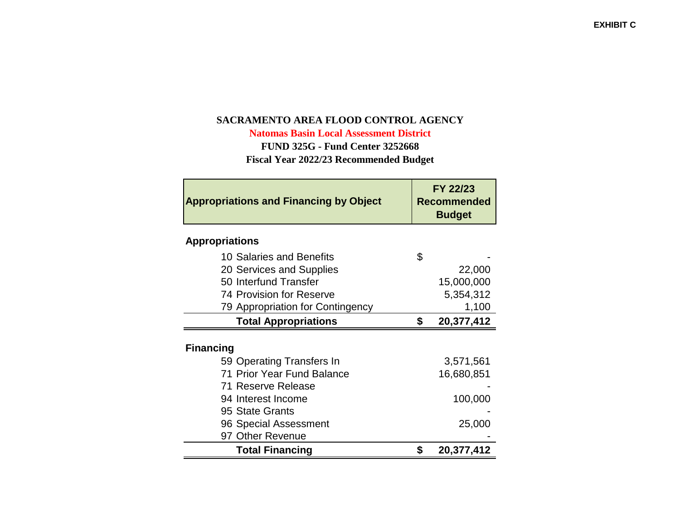# **SACRAMENTO AREA FLOOD CONTROL AGENCY**

**Natomas Basin Local Assessment District**

**FUND 325G - Fund Center 3252668**

**Fiscal Year 2022/23 Recommended Budget**

| <b>Appropriations and Financing by Object</b> | FY 22/23<br><b>Recommended</b><br><b>Budget</b> |            |  |
|-----------------------------------------------|-------------------------------------------------|------------|--|
| <b>Appropriations</b>                         |                                                 |            |  |
| 10 Salaries and Benefits                      | \$                                              |            |  |
| 20 Services and Supplies                      |                                                 | 22,000     |  |
| 50 Interfund Transfer                         |                                                 | 15,000,000 |  |
| <b>74 Provision for Reserve</b>               |                                                 | 5,354,312  |  |
| 79 Appropriation for Contingency              |                                                 | 1,100      |  |
| <b>Total Appropriations</b>                   | \$                                              | 20,377,412 |  |
| <b>Financing</b><br>59 Operating Transfers In |                                                 | 3,571,561  |  |
| 71 Prior Year Fund Balance                    |                                                 | 16,680,851 |  |
| 71 Reserve Release                            |                                                 |            |  |
| 94 Interest Income                            |                                                 | 100,000    |  |
| 95 State Grants                               |                                                 |            |  |
| 96 Special Assessment                         |                                                 | 25,000     |  |
| 97 Other Revenue                              |                                                 |            |  |
| <b>Total Financing</b>                        | \$                                              | 20,377,412 |  |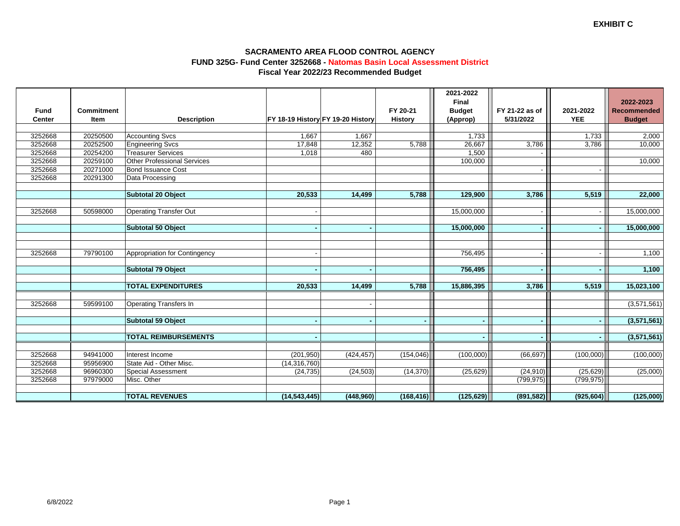### **SACRAMENTO AREA FLOOD CONTROL AGENCY FUND 325G- Fund Center 3252668 - Natomas Basin Local Assessment DistrictFiscal Year 2022/23 Recommended Budget**

|             |                   |                                    |                |                                   |                | 2021-2022<br><b>Final</b> |                |            | 2022-2023          |
|-------------|-------------------|------------------------------------|----------------|-----------------------------------|----------------|---------------------------|----------------|------------|--------------------|
| <b>Fund</b> | <b>Commitment</b> |                                    |                |                                   | FY 20-21       | <b>Budget</b>             | FY 21-22 as of | 2021-2022  | <b>Recommended</b> |
| Center      | Item              | <b>Description</b>                 |                | FY 18-19 History FY 19-20 History | <b>History</b> | (Approp)                  | 5/31/2022      | <b>YEE</b> | <b>Budget</b>      |
|             |                   |                                    |                |                                   |                |                           |                |            |                    |
| 3252668     | 20250500          | <b>Accounting Svcs</b>             | 1,667          | 1,667                             |                | 1,733                     |                | 1,733      | 2,000              |
| 3252668     | 20252500          | <b>Engineering Svcs</b>            | 17,848         | 12,352                            | 5,788          | 26,667                    | 3,786          | 3,786      | 10,000             |
| 3252668     | 20254200          | <b>Treasurer Services</b>          | 1,018          | 480                               |                | 1,500                     |                |            |                    |
| 3252668     | 20259100          | <b>Other Professional Services</b> |                |                                   |                | 100,000                   |                |            | 10,000             |
| 3252668     | 20271000          | <b>Bond Issuance Cost</b>          |                |                                   |                |                           |                |            |                    |
| 3252668     | 20291300          | Data Processing                    |                |                                   |                |                           |                |            |                    |
|             |                   |                                    |                |                                   |                |                           |                |            |                    |
|             |                   | Subtotal 20 Object                 | 20,533         | 14,499                            | 5,788          | 129,900                   | 3,786          | 5,519      | 22,000             |
|             |                   |                                    |                |                                   |                |                           |                |            |                    |
| 3252668     | 50598000          | <b>Operating Transfer Out</b>      |                |                                   |                | 15,000,000                |                |            | 15,000,000         |
|             |                   |                                    |                |                                   |                |                           |                |            |                    |
|             |                   | <b>Subtotal 50 Object</b>          |                |                                   |                | 15,000,000                |                |            | 15,000,000         |
|             |                   |                                    |                |                                   |                |                           |                |            |                    |
|             |                   |                                    |                |                                   |                |                           |                |            |                    |
| 3252668     | 79790100          | Appropriation for Contingency      |                |                                   |                | 756,495                   |                |            | 1,100              |
|             |                   | <b>Subtotal 79 Object</b>          |                |                                   |                | 756,495                   |                |            | 1,100              |
|             |                   |                                    |                |                                   |                |                           |                |            |                    |
|             |                   | <b>TOTAL EXPENDITURES</b>          | 20,533         | 14,499                            | 5,788          | 15,886,395                | 3,786          | 5,519      | 15,023,100         |
|             |                   |                                    |                |                                   |                |                           |                |            |                    |
| 3252668     | 59599100          | <b>Operating Transfers In</b>      |                |                                   |                |                           |                |            | (3,571,561)        |
|             |                   |                                    |                |                                   |                |                           |                |            |                    |
|             |                   | Subtotal 59 Object                 |                |                                   |                | $\blacksquare$            |                |            | (3,571,561)        |
|             |                   |                                    |                |                                   |                |                           |                |            |                    |
|             |                   | <b>TOTAL REIMBURSEMENTS</b>        |                |                                   |                |                           |                |            | (3,571,561)        |
|             |                   |                                    |                |                                   |                |                           |                |            |                    |
| 3252668     | 94941000          | Interest Income                    | (201, 950)     | (424, 457)                        | (154, 046)     | (100,000)                 | (66, 697)      | (100,000)  | (100,000)          |
| 3252668     | 95956900          | State Aid - Other Misc.            | (14, 316, 760) |                                   |                |                           |                |            |                    |
| 3252668     | 96960300          | <b>Special Assessment</b>          | (24, 735)      | (24, 503)                         | (14, 370)      | (25, 629)                 | (24, 910)      | (25, 629)  | (25,000)           |
| 3252668     | 97979000          | Misc. Other                        |                |                                   |                |                           | (799, 975)     | (799, 975) |                    |
|             |                   |                                    |                |                                   |                |                           |                |            |                    |
|             |                   | <b>TOTAL REVENUES</b>              | (14, 543, 445) | (448,960)                         | (168, 416)     | (125, 629)                | (891, 582)     | (925, 604) | (125,000)          |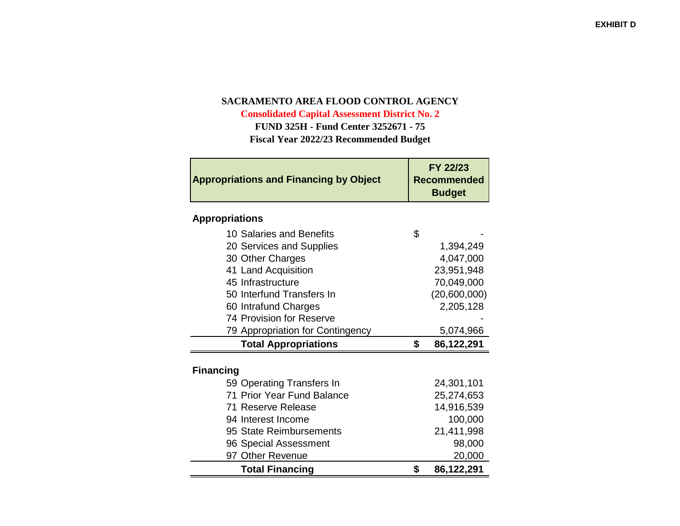## **SACRAMENTO AREA FLOOD CONTROL AGENCY**

**Consolidated Capital Assessment District No. 2FUND 325H - Fund Center 3252671 - 75**

**Fiscal Year 2022/23 Recommended Budget**

| <b>Appropriations and Financing by Object</b> | FY 22/23<br>Recommended<br><b>Budget</b> |
|-----------------------------------------------|------------------------------------------|
| <b>Appropriations</b>                         |                                          |
| 10 Salaries and Benefits                      | \$                                       |
| 20 Services and Supplies                      | 1,394,249                                |
| 30 Other Charges                              | 4,047,000                                |
| 41 Land Acquisition                           | 23,951,948                               |
| 45 Infrastructure                             | 70,049,000                               |
| 50 Interfund Transfers In                     | (20,600,000)                             |
| 60 Intrafund Charges                          | 2,205,128                                |
| 74 Provision for Reserve                      |                                          |
| 79 Appropriation for Contingency              | 5,074,966                                |
| <b>Total Appropriations</b>                   | \$<br>86,122,291                         |
| <b>Financing</b>                              |                                          |
| 59 Operating Transfers In                     | 24,301,101                               |
| 71 Prior Year Fund Balance                    | 25,274,653                               |
| 71 Reserve Release                            | 14,916,539                               |
| 94 Interest Income                            | 100,000                                  |
| 95 State Reimbursements                       | 21,411,998                               |
| 96 Special Assessment                         | 98,000                                   |
| 97 Other Revenue                              | 20,000                                   |
| <b>Total Financing</b>                        | \$<br>86,122,291                         |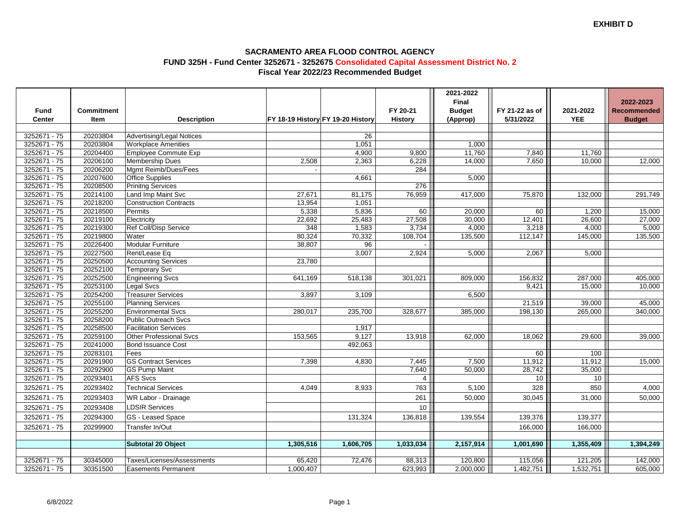### **SACRAMENTO AREA FLOOD CONTROL AGENCY FUND 325H - Fund Center 3252671 - 3252675 Consolidated Capital Assessment District No. 2Fiscal Year 2022/23 Recommended Budget**

| <b>Budget</b><br>FY 20-21<br>FY 21-22 as of<br>2021-2022<br><b>Recommended</b><br>Fund<br><b>Commitment</b><br>Center<br>FY 18-19 History FY 19-20 History<br>5/31/2022<br><b>YEE</b><br>Item<br><b>Description</b><br><b>History</b><br>(Approp)<br><b>Budget</b><br>3252671 - 75<br>20203804<br><b>Advertising/Legal Notices</b><br>26<br>20203804<br>3252671 - 75<br>1,051<br><b>Workplace Amenities</b><br>1,000<br>3252671 - 75<br>20204400<br>Employee Commute Exp<br>4,900<br>9,800<br>11,760<br>7,840<br>11,760<br>3252671 - 75<br>20206100<br><b>Membership Dues</b><br>14,000<br>7,650<br>2,508<br>2,363<br>6,228<br>10,000<br>12,000<br>3252671 - 75<br>20206200<br>284<br>Mgmt Reimb/Dues/Fees<br>$3252671 - 75$<br>20207600<br><b>Office Supplies</b><br>4,661<br>5,000<br>3252671 - 75<br>20208500<br>276<br><b>Prinitng Services</b><br>3252671 - 75<br>20214100<br>Land Imp Maint Svc<br>27,671<br>76,959<br>81,175<br>417,000<br>75,870<br>132,000<br>291,749<br>3252671 - 75<br>20218200<br><b>Construction Contracts</b><br>13,954<br>1,051<br>3252671 - 75<br>20218500<br>5,338<br>5,836<br>60<br>20,000<br>60<br>1,200<br>15,000<br>Permits<br>3252671 - 75<br>20219100<br>25,483<br>30,000<br>22,692<br>27,508<br>12,401<br>26,600<br>27,000<br>Electricity<br>3252671 - 75<br>20219300<br>Ref Coll/Disp Service<br>348<br>1,583<br>3,734<br>4,000<br>3,218<br>4,000<br>5,000<br>80,324<br>3252671 - 75<br>20219800<br>108,704<br>70,332<br>135,500<br>112,147<br>135,500<br>Water<br>145,000<br>3252671 - 75<br>20226400<br><b>Modular Furniture</b><br>38,807<br>96<br>20227500<br>3252671 - 75<br>3,007<br>2,067<br>Rent/Lease Eq<br>2,924<br>5,000<br>5,000<br>3252671 - 75<br>20250500<br><b>Accounting Services</b><br>23,780<br>20252100<br>3252671 - 75<br><b>Temporary Svc</b><br>20252500<br>3252671 - 75<br>287,000<br>405,000<br><b>Engineering Svcs</b><br>641,169<br>518,138<br>301,021<br>809,000<br>156,832<br>3252671 - 75<br>20253100<br>15,000<br>Legal Svcs<br>9,421<br>10,000<br>3252671 - 75<br>20254200<br><b>Treasurer Services</b><br>3,897<br>3,109<br>6,500<br>3252671 - 75<br>20255100<br>45,000<br><b>Planning Services</b><br>21,519<br>39,000<br>3252671 - 75<br>20255200<br>340,000<br><b>Environmental Svcs</b><br>280,017<br>235,700<br>328,677<br>385,000<br>198,130<br>265,000<br>3252671 - 75<br>20258200<br><b>Public Outreach Svcs</b><br>3252671 - 75<br>20258500<br><b>Facilitation Services</b><br>1,917<br>3252671 - 75<br>20259100<br>9,127<br><b>Other Professional Svcs</b><br>153,565<br>13,918<br>62,000<br>18,062<br>29,600<br>39,000<br>3252671 - 75<br>20241000<br><b>Bond Issuance Cost</b><br>492,063<br>20283101<br>3252671 - 75<br>60<br>100<br>Fees<br><b>GS Contract Services</b><br>11,912<br>3252671 - 75<br>20291900<br>7,398<br>7,445<br>7,500<br>11,912<br>15,000<br>4,830<br>20292900<br>28,742<br>3252671 - 75<br>7,640<br>50,000<br>35,000<br><b>GS Pump Maint</b><br>20293401<br>3252671 - 75<br><b>AFS Svcs</b><br>$\overline{4}$<br>10<br>10<br>3252671 - 75<br>20293402<br><b>Technical Services</b><br>328<br>850<br>4,000<br>4.049<br>8,933<br>763<br>5,100<br>3252671 - 75<br>20293403<br><b>WR Labor - Drainage</b><br>261<br>50,000<br>30,045<br>31,000<br>50,000<br>3252671 - 75<br>20293408<br>10<br><b>LDSIR Services</b><br>3252671 - 75<br>20294300<br>139,554<br>139,377<br>GS - Leased Space<br>131,324<br>136,818<br>139,376<br>Transfer In/Out<br>3252671 - 75<br>20299900<br>166,000<br>166,000<br>2,157,914<br>1,394,249<br>Subtotal 20 Object<br>1,305,516<br>1,606,705<br>1,033,034<br>1,001,690<br>1,355,409<br>3252671 - 75<br>30345000<br>Taxes/Licenses/Assessments<br>65,420<br>72,476<br>120,800<br>142,000<br>88,313<br>115,056<br>121,205 |              |          |                            |           |         | 2021-2022<br>Final |           |           | 2022-2023 |
|----------------------------------------------------------------------------------------------------------------------------------------------------------------------------------------------------------------------------------------------------------------------------------------------------------------------------------------------------------------------------------------------------------------------------------------------------------------------------------------------------------------------------------------------------------------------------------------------------------------------------------------------------------------------------------------------------------------------------------------------------------------------------------------------------------------------------------------------------------------------------------------------------------------------------------------------------------------------------------------------------------------------------------------------------------------------------------------------------------------------------------------------------------------------------------------------------------------------------------------------------------------------------------------------------------------------------------------------------------------------------------------------------------------------------------------------------------------------------------------------------------------------------------------------------------------------------------------------------------------------------------------------------------------------------------------------------------------------------------------------------------------------------------------------------------------------------------------------------------------------------------------------------------------------------------------------------------------------------------------------------------------------------------------------------------------------------------------------------------------------------------------------------------------------------------------------------------------------------------------------------------------------------------------------------------------------------------------------------------------------------------------------------------------------------------------------------------------------------------------------------------------------------------------------------------------------------------------------------------------------------------------------------------------------------------------------------------------------------------------------------------------------------------------------------------------------------------------------------------------------------------------------------------------------------------------------------------------------------------------------------------------------------------------------------------------------------------------------------------------------------------------------------------------------------------------------------------------------------------------------------------------------------------------------------------------------------------------------------------------------------------------------------------------------------------------------------------------------------------------------------------------------------------------------------------------------------------------------------------------------------------------------------------------------------------------------------------------------------------------------------------------|--------------|----------|----------------------------|-----------|---------|--------------------|-----------|-----------|-----------|
|                                                                                                                                                                                                                                                                                                                                                                                                                                                                                                                                                                                                                                                                                                                                                                                                                                                                                                                                                                                                                                                                                                                                                                                                                                                                                                                                                                                                                                                                                                                                                                                                                                                                                                                                                                                                                                                                                                                                                                                                                                                                                                                                                                                                                                                                                                                                                                                                                                                                                                                                                                                                                                                                                                                                                                                                                                                                                                                                                                                                                                                                                                                                                                                                                                                                                                                                                                                                                                                                                                                                                                                                                                                                                                                                                                |              |          |                            |           |         |                    |           |           |           |
|                                                                                                                                                                                                                                                                                                                                                                                                                                                                                                                                                                                                                                                                                                                                                                                                                                                                                                                                                                                                                                                                                                                                                                                                                                                                                                                                                                                                                                                                                                                                                                                                                                                                                                                                                                                                                                                                                                                                                                                                                                                                                                                                                                                                                                                                                                                                                                                                                                                                                                                                                                                                                                                                                                                                                                                                                                                                                                                                                                                                                                                                                                                                                                                                                                                                                                                                                                                                                                                                                                                                                                                                                                                                                                                                                                |              |          |                            |           |         |                    |           |           |           |
|                                                                                                                                                                                                                                                                                                                                                                                                                                                                                                                                                                                                                                                                                                                                                                                                                                                                                                                                                                                                                                                                                                                                                                                                                                                                                                                                                                                                                                                                                                                                                                                                                                                                                                                                                                                                                                                                                                                                                                                                                                                                                                                                                                                                                                                                                                                                                                                                                                                                                                                                                                                                                                                                                                                                                                                                                                                                                                                                                                                                                                                                                                                                                                                                                                                                                                                                                                                                                                                                                                                                                                                                                                                                                                                                                                |              |          |                            |           |         |                    |           |           |           |
|                                                                                                                                                                                                                                                                                                                                                                                                                                                                                                                                                                                                                                                                                                                                                                                                                                                                                                                                                                                                                                                                                                                                                                                                                                                                                                                                                                                                                                                                                                                                                                                                                                                                                                                                                                                                                                                                                                                                                                                                                                                                                                                                                                                                                                                                                                                                                                                                                                                                                                                                                                                                                                                                                                                                                                                                                                                                                                                                                                                                                                                                                                                                                                                                                                                                                                                                                                                                                                                                                                                                                                                                                                                                                                                                                                |              |          |                            |           |         |                    |           |           |           |
|                                                                                                                                                                                                                                                                                                                                                                                                                                                                                                                                                                                                                                                                                                                                                                                                                                                                                                                                                                                                                                                                                                                                                                                                                                                                                                                                                                                                                                                                                                                                                                                                                                                                                                                                                                                                                                                                                                                                                                                                                                                                                                                                                                                                                                                                                                                                                                                                                                                                                                                                                                                                                                                                                                                                                                                                                                                                                                                                                                                                                                                                                                                                                                                                                                                                                                                                                                                                                                                                                                                                                                                                                                                                                                                                                                |              |          |                            |           |         |                    |           |           |           |
|                                                                                                                                                                                                                                                                                                                                                                                                                                                                                                                                                                                                                                                                                                                                                                                                                                                                                                                                                                                                                                                                                                                                                                                                                                                                                                                                                                                                                                                                                                                                                                                                                                                                                                                                                                                                                                                                                                                                                                                                                                                                                                                                                                                                                                                                                                                                                                                                                                                                                                                                                                                                                                                                                                                                                                                                                                                                                                                                                                                                                                                                                                                                                                                                                                                                                                                                                                                                                                                                                                                                                                                                                                                                                                                                                                |              |          |                            |           |         |                    |           |           |           |
|                                                                                                                                                                                                                                                                                                                                                                                                                                                                                                                                                                                                                                                                                                                                                                                                                                                                                                                                                                                                                                                                                                                                                                                                                                                                                                                                                                                                                                                                                                                                                                                                                                                                                                                                                                                                                                                                                                                                                                                                                                                                                                                                                                                                                                                                                                                                                                                                                                                                                                                                                                                                                                                                                                                                                                                                                                                                                                                                                                                                                                                                                                                                                                                                                                                                                                                                                                                                                                                                                                                                                                                                                                                                                                                                                                |              |          |                            |           |         |                    |           |           |           |
|                                                                                                                                                                                                                                                                                                                                                                                                                                                                                                                                                                                                                                                                                                                                                                                                                                                                                                                                                                                                                                                                                                                                                                                                                                                                                                                                                                                                                                                                                                                                                                                                                                                                                                                                                                                                                                                                                                                                                                                                                                                                                                                                                                                                                                                                                                                                                                                                                                                                                                                                                                                                                                                                                                                                                                                                                                                                                                                                                                                                                                                                                                                                                                                                                                                                                                                                                                                                                                                                                                                                                                                                                                                                                                                                                                |              |          |                            |           |         |                    |           |           |           |
|                                                                                                                                                                                                                                                                                                                                                                                                                                                                                                                                                                                                                                                                                                                                                                                                                                                                                                                                                                                                                                                                                                                                                                                                                                                                                                                                                                                                                                                                                                                                                                                                                                                                                                                                                                                                                                                                                                                                                                                                                                                                                                                                                                                                                                                                                                                                                                                                                                                                                                                                                                                                                                                                                                                                                                                                                                                                                                                                                                                                                                                                                                                                                                                                                                                                                                                                                                                                                                                                                                                                                                                                                                                                                                                                                                |              |          |                            |           |         |                    |           |           |           |
|                                                                                                                                                                                                                                                                                                                                                                                                                                                                                                                                                                                                                                                                                                                                                                                                                                                                                                                                                                                                                                                                                                                                                                                                                                                                                                                                                                                                                                                                                                                                                                                                                                                                                                                                                                                                                                                                                                                                                                                                                                                                                                                                                                                                                                                                                                                                                                                                                                                                                                                                                                                                                                                                                                                                                                                                                                                                                                                                                                                                                                                                                                                                                                                                                                                                                                                                                                                                                                                                                                                                                                                                                                                                                                                                                                |              |          |                            |           |         |                    |           |           |           |
|                                                                                                                                                                                                                                                                                                                                                                                                                                                                                                                                                                                                                                                                                                                                                                                                                                                                                                                                                                                                                                                                                                                                                                                                                                                                                                                                                                                                                                                                                                                                                                                                                                                                                                                                                                                                                                                                                                                                                                                                                                                                                                                                                                                                                                                                                                                                                                                                                                                                                                                                                                                                                                                                                                                                                                                                                                                                                                                                                                                                                                                                                                                                                                                                                                                                                                                                                                                                                                                                                                                                                                                                                                                                                                                                                                |              |          |                            |           |         |                    |           |           |           |
|                                                                                                                                                                                                                                                                                                                                                                                                                                                                                                                                                                                                                                                                                                                                                                                                                                                                                                                                                                                                                                                                                                                                                                                                                                                                                                                                                                                                                                                                                                                                                                                                                                                                                                                                                                                                                                                                                                                                                                                                                                                                                                                                                                                                                                                                                                                                                                                                                                                                                                                                                                                                                                                                                                                                                                                                                                                                                                                                                                                                                                                                                                                                                                                                                                                                                                                                                                                                                                                                                                                                                                                                                                                                                                                                                                |              |          |                            |           |         |                    |           |           |           |
|                                                                                                                                                                                                                                                                                                                                                                                                                                                                                                                                                                                                                                                                                                                                                                                                                                                                                                                                                                                                                                                                                                                                                                                                                                                                                                                                                                                                                                                                                                                                                                                                                                                                                                                                                                                                                                                                                                                                                                                                                                                                                                                                                                                                                                                                                                                                                                                                                                                                                                                                                                                                                                                                                                                                                                                                                                                                                                                                                                                                                                                                                                                                                                                                                                                                                                                                                                                                                                                                                                                                                                                                                                                                                                                                                                |              |          |                            |           |         |                    |           |           |           |
|                                                                                                                                                                                                                                                                                                                                                                                                                                                                                                                                                                                                                                                                                                                                                                                                                                                                                                                                                                                                                                                                                                                                                                                                                                                                                                                                                                                                                                                                                                                                                                                                                                                                                                                                                                                                                                                                                                                                                                                                                                                                                                                                                                                                                                                                                                                                                                                                                                                                                                                                                                                                                                                                                                                                                                                                                                                                                                                                                                                                                                                                                                                                                                                                                                                                                                                                                                                                                                                                                                                                                                                                                                                                                                                                                                |              |          |                            |           |         |                    |           |           |           |
|                                                                                                                                                                                                                                                                                                                                                                                                                                                                                                                                                                                                                                                                                                                                                                                                                                                                                                                                                                                                                                                                                                                                                                                                                                                                                                                                                                                                                                                                                                                                                                                                                                                                                                                                                                                                                                                                                                                                                                                                                                                                                                                                                                                                                                                                                                                                                                                                                                                                                                                                                                                                                                                                                                                                                                                                                                                                                                                                                                                                                                                                                                                                                                                                                                                                                                                                                                                                                                                                                                                                                                                                                                                                                                                                                                |              |          |                            |           |         |                    |           |           |           |
|                                                                                                                                                                                                                                                                                                                                                                                                                                                                                                                                                                                                                                                                                                                                                                                                                                                                                                                                                                                                                                                                                                                                                                                                                                                                                                                                                                                                                                                                                                                                                                                                                                                                                                                                                                                                                                                                                                                                                                                                                                                                                                                                                                                                                                                                                                                                                                                                                                                                                                                                                                                                                                                                                                                                                                                                                                                                                                                                                                                                                                                                                                                                                                                                                                                                                                                                                                                                                                                                                                                                                                                                                                                                                                                                                                |              |          |                            |           |         |                    |           |           |           |
|                                                                                                                                                                                                                                                                                                                                                                                                                                                                                                                                                                                                                                                                                                                                                                                                                                                                                                                                                                                                                                                                                                                                                                                                                                                                                                                                                                                                                                                                                                                                                                                                                                                                                                                                                                                                                                                                                                                                                                                                                                                                                                                                                                                                                                                                                                                                                                                                                                                                                                                                                                                                                                                                                                                                                                                                                                                                                                                                                                                                                                                                                                                                                                                                                                                                                                                                                                                                                                                                                                                                                                                                                                                                                                                                                                |              |          |                            |           |         |                    |           |           |           |
|                                                                                                                                                                                                                                                                                                                                                                                                                                                                                                                                                                                                                                                                                                                                                                                                                                                                                                                                                                                                                                                                                                                                                                                                                                                                                                                                                                                                                                                                                                                                                                                                                                                                                                                                                                                                                                                                                                                                                                                                                                                                                                                                                                                                                                                                                                                                                                                                                                                                                                                                                                                                                                                                                                                                                                                                                                                                                                                                                                                                                                                                                                                                                                                                                                                                                                                                                                                                                                                                                                                                                                                                                                                                                                                                                                |              |          |                            |           |         |                    |           |           |           |
|                                                                                                                                                                                                                                                                                                                                                                                                                                                                                                                                                                                                                                                                                                                                                                                                                                                                                                                                                                                                                                                                                                                                                                                                                                                                                                                                                                                                                                                                                                                                                                                                                                                                                                                                                                                                                                                                                                                                                                                                                                                                                                                                                                                                                                                                                                                                                                                                                                                                                                                                                                                                                                                                                                                                                                                                                                                                                                                                                                                                                                                                                                                                                                                                                                                                                                                                                                                                                                                                                                                                                                                                                                                                                                                                                                |              |          |                            |           |         |                    |           |           |           |
|                                                                                                                                                                                                                                                                                                                                                                                                                                                                                                                                                                                                                                                                                                                                                                                                                                                                                                                                                                                                                                                                                                                                                                                                                                                                                                                                                                                                                                                                                                                                                                                                                                                                                                                                                                                                                                                                                                                                                                                                                                                                                                                                                                                                                                                                                                                                                                                                                                                                                                                                                                                                                                                                                                                                                                                                                                                                                                                                                                                                                                                                                                                                                                                                                                                                                                                                                                                                                                                                                                                                                                                                                                                                                                                                                                |              |          |                            |           |         |                    |           |           |           |
|                                                                                                                                                                                                                                                                                                                                                                                                                                                                                                                                                                                                                                                                                                                                                                                                                                                                                                                                                                                                                                                                                                                                                                                                                                                                                                                                                                                                                                                                                                                                                                                                                                                                                                                                                                                                                                                                                                                                                                                                                                                                                                                                                                                                                                                                                                                                                                                                                                                                                                                                                                                                                                                                                                                                                                                                                                                                                                                                                                                                                                                                                                                                                                                                                                                                                                                                                                                                                                                                                                                                                                                                                                                                                                                                                                |              |          |                            |           |         |                    |           |           |           |
|                                                                                                                                                                                                                                                                                                                                                                                                                                                                                                                                                                                                                                                                                                                                                                                                                                                                                                                                                                                                                                                                                                                                                                                                                                                                                                                                                                                                                                                                                                                                                                                                                                                                                                                                                                                                                                                                                                                                                                                                                                                                                                                                                                                                                                                                                                                                                                                                                                                                                                                                                                                                                                                                                                                                                                                                                                                                                                                                                                                                                                                                                                                                                                                                                                                                                                                                                                                                                                                                                                                                                                                                                                                                                                                                                                |              |          |                            |           |         |                    |           |           |           |
|                                                                                                                                                                                                                                                                                                                                                                                                                                                                                                                                                                                                                                                                                                                                                                                                                                                                                                                                                                                                                                                                                                                                                                                                                                                                                                                                                                                                                                                                                                                                                                                                                                                                                                                                                                                                                                                                                                                                                                                                                                                                                                                                                                                                                                                                                                                                                                                                                                                                                                                                                                                                                                                                                                                                                                                                                                                                                                                                                                                                                                                                                                                                                                                                                                                                                                                                                                                                                                                                                                                                                                                                                                                                                                                                                                |              |          |                            |           |         |                    |           |           |           |
|                                                                                                                                                                                                                                                                                                                                                                                                                                                                                                                                                                                                                                                                                                                                                                                                                                                                                                                                                                                                                                                                                                                                                                                                                                                                                                                                                                                                                                                                                                                                                                                                                                                                                                                                                                                                                                                                                                                                                                                                                                                                                                                                                                                                                                                                                                                                                                                                                                                                                                                                                                                                                                                                                                                                                                                                                                                                                                                                                                                                                                                                                                                                                                                                                                                                                                                                                                                                                                                                                                                                                                                                                                                                                                                                                                |              |          |                            |           |         |                    |           |           |           |
|                                                                                                                                                                                                                                                                                                                                                                                                                                                                                                                                                                                                                                                                                                                                                                                                                                                                                                                                                                                                                                                                                                                                                                                                                                                                                                                                                                                                                                                                                                                                                                                                                                                                                                                                                                                                                                                                                                                                                                                                                                                                                                                                                                                                                                                                                                                                                                                                                                                                                                                                                                                                                                                                                                                                                                                                                                                                                                                                                                                                                                                                                                                                                                                                                                                                                                                                                                                                                                                                                                                                                                                                                                                                                                                                                                |              |          |                            |           |         |                    |           |           |           |
|                                                                                                                                                                                                                                                                                                                                                                                                                                                                                                                                                                                                                                                                                                                                                                                                                                                                                                                                                                                                                                                                                                                                                                                                                                                                                                                                                                                                                                                                                                                                                                                                                                                                                                                                                                                                                                                                                                                                                                                                                                                                                                                                                                                                                                                                                                                                                                                                                                                                                                                                                                                                                                                                                                                                                                                                                                                                                                                                                                                                                                                                                                                                                                                                                                                                                                                                                                                                                                                                                                                                                                                                                                                                                                                                                                |              |          |                            |           |         |                    |           |           |           |
|                                                                                                                                                                                                                                                                                                                                                                                                                                                                                                                                                                                                                                                                                                                                                                                                                                                                                                                                                                                                                                                                                                                                                                                                                                                                                                                                                                                                                                                                                                                                                                                                                                                                                                                                                                                                                                                                                                                                                                                                                                                                                                                                                                                                                                                                                                                                                                                                                                                                                                                                                                                                                                                                                                                                                                                                                                                                                                                                                                                                                                                                                                                                                                                                                                                                                                                                                                                                                                                                                                                                                                                                                                                                                                                                                                |              |          |                            |           |         |                    |           |           |           |
|                                                                                                                                                                                                                                                                                                                                                                                                                                                                                                                                                                                                                                                                                                                                                                                                                                                                                                                                                                                                                                                                                                                                                                                                                                                                                                                                                                                                                                                                                                                                                                                                                                                                                                                                                                                                                                                                                                                                                                                                                                                                                                                                                                                                                                                                                                                                                                                                                                                                                                                                                                                                                                                                                                                                                                                                                                                                                                                                                                                                                                                                                                                                                                                                                                                                                                                                                                                                                                                                                                                                                                                                                                                                                                                                                                |              |          |                            |           |         |                    |           |           |           |
|                                                                                                                                                                                                                                                                                                                                                                                                                                                                                                                                                                                                                                                                                                                                                                                                                                                                                                                                                                                                                                                                                                                                                                                                                                                                                                                                                                                                                                                                                                                                                                                                                                                                                                                                                                                                                                                                                                                                                                                                                                                                                                                                                                                                                                                                                                                                                                                                                                                                                                                                                                                                                                                                                                                                                                                                                                                                                                                                                                                                                                                                                                                                                                                                                                                                                                                                                                                                                                                                                                                                                                                                                                                                                                                                                                |              |          |                            |           |         |                    |           |           |           |
|                                                                                                                                                                                                                                                                                                                                                                                                                                                                                                                                                                                                                                                                                                                                                                                                                                                                                                                                                                                                                                                                                                                                                                                                                                                                                                                                                                                                                                                                                                                                                                                                                                                                                                                                                                                                                                                                                                                                                                                                                                                                                                                                                                                                                                                                                                                                                                                                                                                                                                                                                                                                                                                                                                                                                                                                                                                                                                                                                                                                                                                                                                                                                                                                                                                                                                                                                                                                                                                                                                                                                                                                                                                                                                                                                                |              |          |                            |           |         |                    |           |           |           |
|                                                                                                                                                                                                                                                                                                                                                                                                                                                                                                                                                                                                                                                                                                                                                                                                                                                                                                                                                                                                                                                                                                                                                                                                                                                                                                                                                                                                                                                                                                                                                                                                                                                                                                                                                                                                                                                                                                                                                                                                                                                                                                                                                                                                                                                                                                                                                                                                                                                                                                                                                                                                                                                                                                                                                                                                                                                                                                                                                                                                                                                                                                                                                                                                                                                                                                                                                                                                                                                                                                                                                                                                                                                                                                                                                                |              |          |                            |           |         |                    |           |           |           |
|                                                                                                                                                                                                                                                                                                                                                                                                                                                                                                                                                                                                                                                                                                                                                                                                                                                                                                                                                                                                                                                                                                                                                                                                                                                                                                                                                                                                                                                                                                                                                                                                                                                                                                                                                                                                                                                                                                                                                                                                                                                                                                                                                                                                                                                                                                                                                                                                                                                                                                                                                                                                                                                                                                                                                                                                                                                                                                                                                                                                                                                                                                                                                                                                                                                                                                                                                                                                                                                                                                                                                                                                                                                                                                                                                                |              |          |                            |           |         |                    |           |           |           |
|                                                                                                                                                                                                                                                                                                                                                                                                                                                                                                                                                                                                                                                                                                                                                                                                                                                                                                                                                                                                                                                                                                                                                                                                                                                                                                                                                                                                                                                                                                                                                                                                                                                                                                                                                                                                                                                                                                                                                                                                                                                                                                                                                                                                                                                                                                                                                                                                                                                                                                                                                                                                                                                                                                                                                                                                                                                                                                                                                                                                                                                                                                                                                                                                                                                                                                                                                                                                                                                                                                                                                                                                                                                                                                                                                                |              |          |                            |           |         |                    |           |           |           |
|                                                                                                                                                                                                                                                                                                                                                                                                                                                                                                                                                                                                                                                                                                                                                                                                                                                                                                                                                                                                                                                                                                                                                                                                                                                                                                                                                                                                                                                                                                                                                                                                                                                                                                                                                                                                                                                                                                                                                                                                                                                                                                                                                                                                                                                                                                                                                                                                                                                                                                                                                                                                                                                                                                                                                                                                                                                                                                                                                                                                                                                                                                                                                                                                                                                                                                                                                                                                                                                                                                                                                                                                                                                                                                                                                                |              |          |                            |           |         |                    |           |           |           |
|                                                                                                                                                                                                                                                                                                                                                                                                                                                                                                                                                                                                                                                                                                                                                                                                                                                                                                                                                                                                                                                                                                                                                                                                                                                                                                                                                                                                                                                                                                                                                                                                                                                                                                                                                                                                                                                                                                                                                                                                                                                                                                                                                                                                                                                                                                                                                                                                                                                                                                                                                                                                                                                                                                                                                                                                                                                                                                                                                                                                                                                                                                                                                                                                                                                                                                                                                                                                                                                                                                                                                                                                                                                                                                                                                                |              |          |                            |           |         |                    |           |           |           |
|                                                                                                                                                                                                                                                                                                                                                                                                                                                                                                                                                                                                                                                                                                                                                                                                                                                                                                                                                                                                                                                                                                                                                                                                                                                                                                                                                                                                                                                                                                                                                                                                                                                                                                                                                                                                                                                                                                                                                                                                                                                                                                                                                                                                                                                                                                                                                                                                                                                                                                                                                                                                                                                                                                                                                                                                                                                                                                                                                                                                                                                                                                                                                                                                                                                                                                                                                                                                                                                                                                                                                                                                                                                                                                                                                                |              |          |                            |           |         |                    |           |           |           |
|                                                                                                                                                                                                                                                                                                                                                                                                                                                                                                                                                                                                                                                                                                                                                                                                                                                                                                                                                                                                                                                                                                                                                                                                                                                                                                                                                                                                                                                                                                                                                                                                                                                                                                                                                                                                                                                                                                                                                                                                                                                                                                                                                                                                                                                                                                                                                                                                                                                                                                                                                                                                                                                                                                                                                                                                                                                                                                                                                                                                                                                                                                                                                                                                                                                                                                                                                                                                                                                                                                                                                                                                                                                                                                                                                                |              |          |                            |           |         |                    |           |           |           |
|                                                                                                                                                                                                                                                                                                                                                                                                                                                                                                                                                                                                                                                                                                                                                                                                                                                                                                                                                                                                                                                                                                                                                                                                                                                                                                                                                                                                                                                                                                                                                                                                                                                                                                                                                                                                                                                                                                                                                                                                                                                                                                                                                                                                                                                                                                                                                                                                                                                                                                                                                                                                                                                                                                                                                                                                                                                                                                                                                                                                                                                                                                                                                                                                                                                                                                                                                                                                                                                                                                                                                                                                                                                                                                                                                                |              |          |                            |           |         |                    |           |           |           |
|                                                                                                                                                                                                                                                                                                                                                                                                                                                                                                                                                                                                                                                                                                                                                                                                                                                                                                                                                                                                                                                                                                                                                                                                                                                                                                                                                                                                                                                                                                                                                                                                                                                                                                                                                                                                                                                                                                                                                                                                                                                                                                                                                                                                                                                                                                                                                                                                                                                                                                                                                                                                                                                                                                                                                                                                                                                                                                                                                                                                                                                                                                                                                                                                                                                                                                                                                                                                                                                                                                                                                                                                                                                                                                                                                                |              |          |                            |           |         |                    |           |           |           |
|                                                                                                                                                                                                                                                                                                                                                                                                                                                                                                                                                                                                                                                                                                                                                                                                                                                                                                                                                                                                                                                                                                                                                                                                                                                                                                                                                                                                                                                                                                                                                                                                                                                                                                                                                                                                                                                                                                                                                                                                                                                                                                                                                                                                                                                                                                                                                                                                                                                                                                                                                                                                                                                                                                                                                                                                                                                                                                                                                                                                                                                                                                                                                                                                                                                                                                                                                                                                                                                                                                                                                                                                                                                                                                                                                                |              |          |                            |           |         |                    |           |           |           |
|                                                                                                                                                                                                                                                                                                                                                                                                                                                                                                                                                                                                                                                                                                                                                                                                                                                                                                                                                                                                                                                                                                                                                                                                                                                                                                                                                                                                                                                                                                                                                                                                                                                                                                                                                                                                                                                                                                                                                                                                                                                                                                                                                                                                                                                                                                                                                                                                                                                                                                                                                                                                                                                                                                                                                                                                                                                                                                                                                                                                                                                                                                                                                                                                                                                                                                                                                                                                                                                                                                                                                                                                                                                                                                                                                                |              |          |                            |           |         |                    |           |           |           |
|                                                                                                                                                                                                                                                                                                                                                                                                                                                                                                                                                                                                                                                                                                                                                                                                                                                                                                                                                                                                                                                                                                                                                                                                                                                                                                                                                                                                                                                                                                                                                                                                                                                                                                                                                                                                                                                                                                                                                                                                                                                                                                                                                                                                                                                                                                                                                                                                                                                                                                                                                                                                                                                                                                                                                                                                                                                                                                                                                                                                                                                                                                                                                                                                                                                                                                                                                                                                                                                                                                                                                                                                                                                                                                                                                                | 3252671 - 75 | 30351500 | <b>Easements Permanent</b> | 1,000,407 | 623,993 | 2,000,000          | 1,482,751 | 1,532,751 | 605,000   |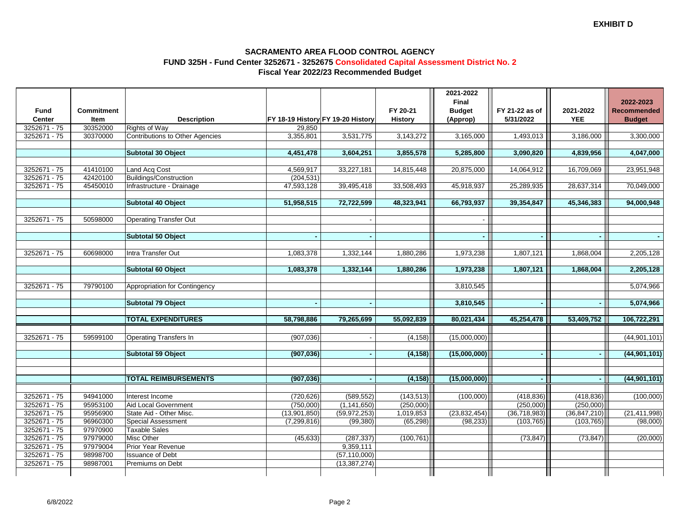### **SACRAMENTO AREA FLOOD CONTROL AGENCY FUND 325H - Fund Center 3252671 - 3252675 Consolidated Capital Assessment District No. 2Fiscal Year 2022/23 Recommended Budget**

|                |                   |                                        |              |                                   |                | 2021-2022<br>Final |                |                | 2022-2023          |
|----------------|-------------------|----------------------------------------|--------------|-----------------------------------|----------------|--------------------|----------------|----------------|--------------------|
| <b>Fund</b>    | <b>Commitment</b> |                                        |              |                                   | FY 20-21       | <b>Budget</b>      | FY 21-22 as of | 2021-2022      | <b>Recommended</b> |
| Center         | Item              | <b>Description</b>                     |              | FY 18-19 History FY 19-20 History | <b>History</b> | (Approp)           | 5/31/2022      | <b>YEE</b>     | <b>Budget</b>      |
| 3252671 - 75   | 30352000          | <b>Rights of Way</b>                   | 29,850       |                                   |                |                    |                |                |                    |
| 3252671 - 75   | 30370000          | <b>Contributions to Other Agencies</b> | 3,355,801    | 3,531,775                         | 3,143,272      | 3,165,000          | 1,493,013      | 3,186,000      | 3,300,000          |
|                |                   |                                        |              |                                   |                |                    |                |                |                    |
|                |                   | Subtotal 30 Object                     | 4,451,478    | 3,604,251                         | 3,855,578      | 5,285,800          | 3,090,820      | 4,839,956      | 4,047,000          |
|                |                   |                                        |              |                                   |                |                    |                |                |                    |
| 3252671 - 75   | 41410100          | Land Acq Cost                          | 4,569,917    | 33,227,181                        | 14,815,448     | 20,875,000         | 14,064,912     | 16,709,069     | 23,951,948         |
| 3252671 - 75   | 42420100          | Buildings/Construction                 | (204, 531)   |                                   |                |                    |                |                |                    |
| 3252671 - 75   | 45450010          | Infrastructure - Drainage              | 47,593,128   | 39,495,418                        | 33,508,493     | 45,918,937         | 25,289,935     | 28,637,314     | 70,049,000         |
|                |                   |                                        |              |                                   |                |                    |                |                |                    |
|                |                   | Subtotal 40 Object                     | 51,958,515   | 72,722,599                        | 48,323,941     | 66,793,937         | 39,354,847     | 45,346,383     | 94,000,948         |
|                |                   |                                        |              |                                   |                |                    |                |                |                    |
| 3252671 - 75   | 50598000          | <b>Operating Transfer Out</b>          |              |                                   |                |                    |                |                |                    |
|                |                   | Subtotal 50 Object                     |              |                                   |                |                    |                |                | $\sim$             |
|                |                   |                                        |              |                                   |                |                    |                |                |                    |
| 3252671 - 75   | 60698000          | Intra Transfer Out                     | 1,083,378    | 1,332,144                         | 1,880,286      | 1,973,238          | 1,807,121      | 1,868,004      | 2,205,128          |
|                |                   |                                        |              |                                   |                |                    |                |                |                    |
|                |                   | Subtotal 60 Object                     | 1,083,378    | 1,332,144                         | 1,880,286      | 1,973,238          | 1,807,121      | 1,868,004      | 2,205,128          |
|                |                   |                                        |              |                                   |                |                    |                |                |                    |
| 3252671 - 75   | 79790100          | Appropriation for Contingency          |              |                                   |                | 3,810,545          |                |                | 5,074,966          |
|                |                   |                                        |              |                                   |                |                    |                |                |                    |
|                |                   | <b>Subtotal 79 Object</b>              |              |                                   |                | 3,810,545          | $\sim$         |                | 5,074,966          |
|                |                   |                                        |              |                                   |                |                    |                |                |                    |
|                |                   | <b>TOTAL EXPENDITURES</b>              | 58,798,886   | 79,265,699                        | 55,092,839     | 80,021,434         | 45,254,478     | 53,409,752     | 106,722,291        |
|                |                   |                                        |              |                                   |                |                    |                |                |                    |
| 3252671 - 75   | 59599100          | <b>Operating Transfers In</b>          | (907, 036)   |                                   | (4, 158)       | (15,000,000)       |                |                | (44, 901, 101)     |
|                |                   |                                        |              |                                   |                |                    |                |                |                    |
|                |                   | Subtotal 59 Object                     | (907, 036)   |                                   | (4, 158)       | (15,000,000)       | $\blacksquare$ |                | (44, 901, 101)     |
|                |                   |                                        |              |                                   |                |                    |                |                |                    |
|                |                   |                                        |              |                                   |                |                    |                |                |                    |
|                |                   | <b>TOTAL REIMBURSEMENTS</b>            | (907, 036)   |                                   | (4, 158)       | (15,000,000)       |                |                | (44, 901, 101)     |
|                |                   |                                        |              |                                   |                |                    |                |                |                    |
| $3252671 - 75$ | 94941000          | Interest Income                        | (720, 626)   | (589, 552)                        | (143, 513)     | (100,000)          | (418, 836)     | (418, 836)     | (100,000)          |
| 3252671 - 75   | 95953100          | Aid Local Government                   | (750,000)    | (1, 141, 650)                     | (250,000)      |                    | (250,000)      | (250,000)      |                    |
| 3252671 - 75   | 95956900          | State Aid - Other Misc.                | (13,901,850) | (59, 972, 253)                    | 1,019,853      | (23,832,454)       | (36,718,983)   | (36, 847, 210) | (21, 411, 998)     |
| 3252671 - 75   | 96960300          | <b>Special Assessment</b>              | (7,299,816)  | (99, 380)                         | (65, 298)      | (98, 233)          | (103, 765)     | (103, 765)     | (98,000)           |
| 3252671 - 75   | 97970900          | <b>Taxable Sales</b>                   |              |                                   |                |                    |                |                |                    |
| 3252671 - 75   | 97979000          | Misc Other                             | (45, 633)    | (287, 337)                        | (100, 761)     |                    | (73, 847)      | (73, 847)      | (20,000)           |
| 3252671 - 75   | 97979004          | Prior Year Revenue                     |              | 9,359,111                         |                |                    |                |                |                    |
| 3252671 - 75   | 98998700          | <b>Issuance of Debt</b>                |              | (57, 110, 000)                    |                |                    |                |                |                    |
| 3252671 - 75   | 98987001          | Premiums on Debt                       |              | (13, 387, 274)                    |                |                    |                |                |                    |
|                |                   |                                        |              |                                   |                |                    |                |                |                    |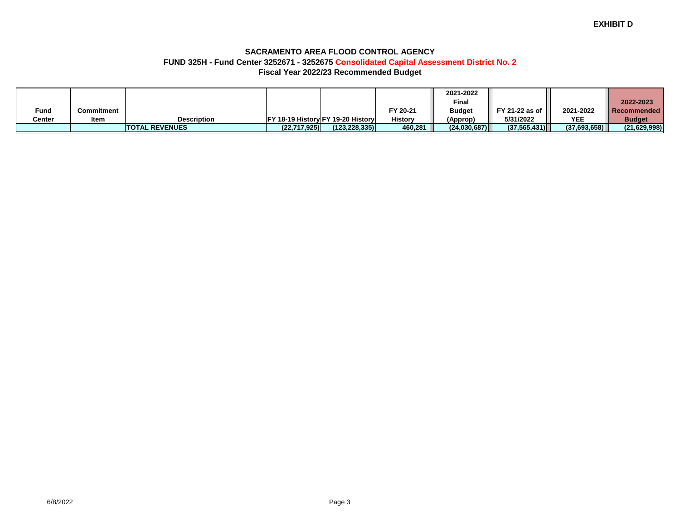### **SACRAMENTO AREA FLOOD CONTROL AGENCY FUND 325H - Fund Center 3252671 - 3252675 Consolidated Capital Assessment District No. 2Fiscal Year 2022/23 Recommended Budget**

|        |             |                       |                |                                           |                | 2021-2022     |                |              |                     |
|--------|-------------|-----------------------|----------------|-------------------------------------------|----------------|---------------|----------------|--------------|---------------------|
|        |             |                       |                |                                           |                | Final         |                |              | 2022-2023           |
| Fund   | Commitment  |                       |                |                                           | FY 20-21       | <b>Budget</b> | FY 21-22 as of | 2021-2022    | <b>ORECOMMended</b> |
| Center | <b>Item</b> | <b>Description</b>    |                | <b>IFY 18-19 History FY 19-20 History</b> | <b>History</b> | (Approp)      | 5/31/2022      | <b>YEE</b>   | <b>Budget</b>       |
|        |             | <b>TOTAL REVENUES</b> | (22, 717, 925) | (123.228.335)                             | 460,281        | (24,030,687)  | (37.565.431)   | (37,693,658) | (21, 629, 998)      |